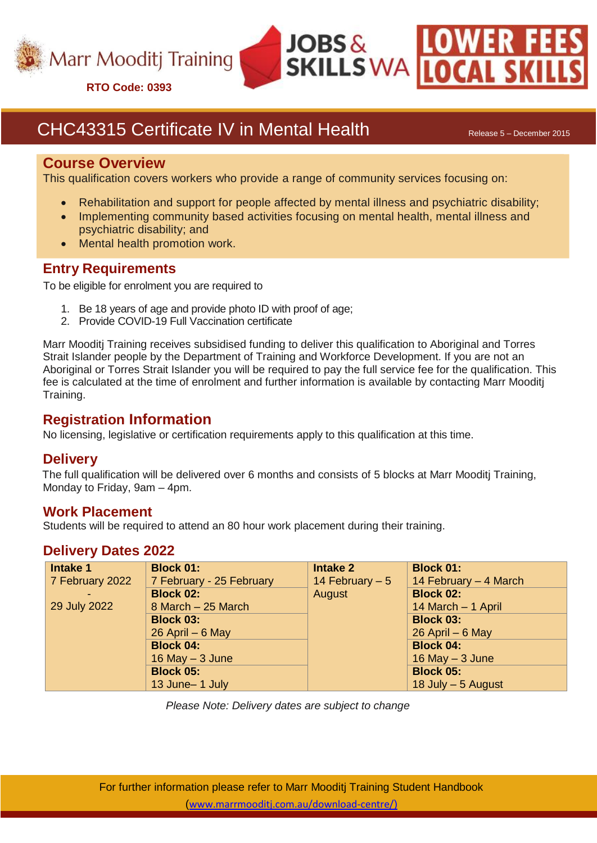

**RTO Code: 0393**

# CHC43315 Certificate IV in Mental Health Release 5 – December 2015

#### **Course Overview**

This qualification covers workers who provide a range of community services focusing on:

Rehabilitation and support for people affected by mental illness and psychiatric disability;

 $JOBS\,\&$ 

**SKILLS WA** 

- Implementing community based activities focusing on mental health, mental illness and psychiatric disability; and
- Mental health promotion work.

## **Entry Requirements**

To be eligible for enrolment you are required to

- 1. Be 18 years of age and provide photo ID with proof of age;
- 2. Provide COVID-19 Full Vaccination certificate

Marr Mooditj Training receives subsidised funding to deliver this qualification to Aboriginal and Torres Strait Islander people by the Department of Training and Workforce Development. If you are not an Aboriginal or Torres Strait Islander you will be required to pay the full service fee for the qualification. This fee is calculated at the time of enrolment and further information is available by contacting Marr Mooditj Training.

### **Registration Information**

No licensing, legislative or certification requirements apply to this qualification at this time.

#### **Delivery**

The full qualification will be delivered over 6 months and consists of 5 blocks at Marr Mooditj Training, Monday to Friday, 9am – 4pm.

#### **Work Placement**

Students will be required to attend an 80 hour work placement during their training.

# **Delivery Dates 2022**

| Intake 1                 | <b>Block 01:</b>         | <b>Intake 2</b>  | <b>Block 01:</b>      |
|--------------------------|--------------------------|------------------|-----------------------|
| $\sqrt{7}$ February 2022 | 7 February - 25 February | 14 February $-5$ | 14 February - 4 March |
|                          | <b>Block 02:</b>         | August           | <b>Block 02:</b>      |
| 29 July 2022             | 8 March - 25 March       |                  | 14 March - 1 April    |
|                          | <b>Block 03:</b>         |                  | <b>Block 03:</b>      |
|                          | $26$ April $-6$ May      |                  | $26$ April – 6 May    |
|                          | <b>Block 04:</b>         |                  | <b>Block 04:</b>      |
|                          | 16 May $-$ 3 June        |                  | 16 May $-3$ June      |
|                          | <b>Block 05:</b>         |                  | <b>Block 05:</b>      |
|                          | 13 June-1 July           |                  | 18 July $-5$ August   |

*Please Note: Delivery dates are subject to change*